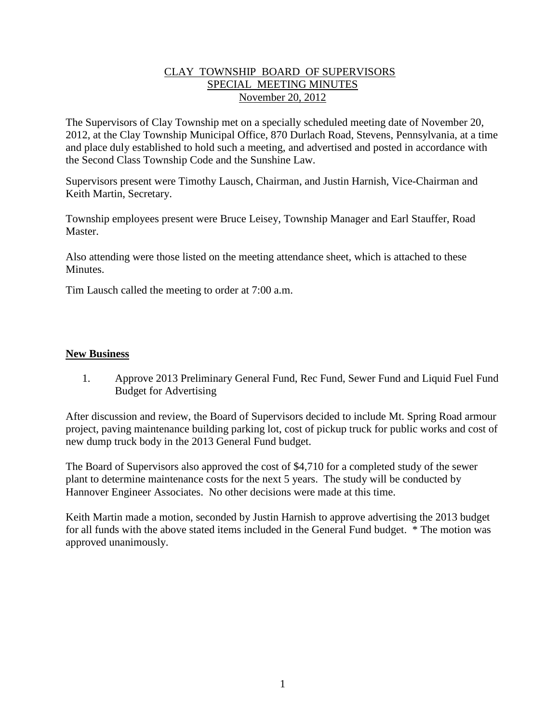## CLAY TOWNSHIP BOARD OF SUPERVISORS SPECIAL MEETING MINUTES November 20, 2012

The Supervisors of Clay Township met on a specially scheduled meeting date of November 20, 2012, at the Clay Township Municipal Office, 870 Durlach Road, Stevens, Pennsylvania, at a time and place duly established to hold such a meeting, and advertised and posted in accordance with the Second Class Township Code and the Sunshine Law.

Supervisors present were Timothy Lausch, Chairman, and Justin Harnish, Vice-Chairman and Keith Martin, Secretary.

Township employees present were Bruce Leisey, Township Manager and Earl Stauffer, Road Master.

Also attending were those listed on the meeting attendance sheet, which is attached to these Minutes.

Tim Lausch called the meeting to order at 7:00 a.m.

## **New Business**

1. Approve 2013 Preliminary General Fund, Rec Fund, Sewer Fund and Liquid Fuel Fund Budget for Advertising

After discussion and review, the Board of Supervisors decided to include Mt. Spring Road armour project, paving maintenance building parking lot, cost of pickup truck for public works and cost of new dump truck body in the 2013 General Fund budget.

The Board of Supervisors also approved the cost of \$4,710 for a completed study of the sewer plant to determine maintenance costs for the next 5 years. The study will be conducted by Hannover Engineer Associates. No other decisions were made at this time.

Keith Martin made a motion, seconded by Justin Harnish to approve advertising the 2013 budget for all funds with the above stated items included in the General Fund budget. \* The motion was approved unanimously.